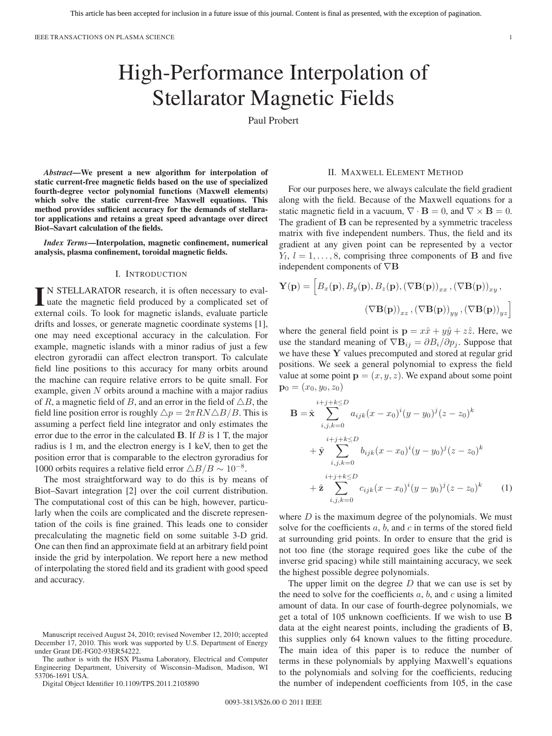# High-Performance Interpolation of Stellarator Magnetic Fields

Paul Probert

*Abstract***—We present a new algorithm for interpolation of static current-free magnetic fields based on the use of specialized fourth-degree vector polynomial functions (Maxwell elements) which solve the static current-free Maxwell equations. This method provides sufficient accuracy for the demands of stellarator applications and retains a great speed advantage over direct Biot–Savart calculation of the fields.**

*Index Terms***—Interpolation, magnetic confinement, numerical analysis, plasma confinement, toroidal magnetic fields.**

## I. INTRODUCTION

IN STELLARATOR research, it is often necessary to evaluate the magnetic field produced by a complicated set of external coils. To look for magnetic islands, evaluate particle drifts and losses, or generate magnetic coordinate systems [1], one may need exceptional accuracy in the calculation. For example, magnetic islands with a minor radius of just a few electron gyroradii can affect electron transport. To calculate field line positions to this accuracy for many orbits around the machine can require relative errors to be quite small. For example, given  $N$  orbits around a machine with a major radius of R, a magnetic field of B, and an error in the field of  $\triangle B$ , the field line position error is roughly  $\triangle p = 2\pi R N \triangle B/B$ . This is assuming a perfect field line integrator and only estimates the error due to the error in the calculated **B**. If B is 1 T, the major radius is 1 m, and the electron energy is 1 keV, then to get the position error that is comparable to the electron gyroradius for 1000 orbits requires a relative field error  $\triangle B/B \sim 10^{-8}$ .

The most straightforward way to do this is by means of Biot–Savart integration [2] over the coil current distribution. The computational cost of this can be high, however, particularly when the coils are complicated and the discrete representation of the coils is fine grained. This leads one to consider precalculating the magnetic field on some suitable 3-D grid. One can then find an approximate field at an arbitrary field point inside the grid by interpolation. We report here a new method of interpolating the stored field and its gradient with good speed and accuracy.

The author is with the HSX Plasma Laboratory, Electrical and Computer Engineering Department, University of Wisconsin–Madison, Madison, WI 53706-1691 USA.

Digital Object Identifier 10.1109/TPS.2011.2105890

# II. MAXWELL ELEMENT METHOD

For our purposes here, we always calculate the field gradient along with the field. Because of the Maxwell equations for a static magnetic field in a vacuum,  $\nabla \cdot \mathbf{B} = 0$ , and  $\nabla \times \mathbf{B} = 0$ . The gradient of **B** can be represented by a symmetric traceless matrix with five independent numbers. Thus, the field and its gradient at any given point can be represented by a vector  $Y_l$ ,  $l = 1, \ldots, 8$ , comprising three components of **B** and five independent components of ∇**B**

$$
\mathbf{Y}(\mathbf{p}) = \left[B_x(\mathbf{p}), B_y(\mathbf{p}), B_z(\mathbf{p}), (\nabla \mathbf{B}(\mathbf{p}))_{xx}, (\nabla \mathbf{B}(\mathbf{p}))_{xy},\right.\n(\nabla \mathbf{B}(\mathbf{p}))_{xz}, (\nabla \mathbf{B}(\mathbf{p}))_{yy}, (\nabla \mathbf{B}(\mathbf{p}))_{yz}\right]
$$

where the general field point is  $\mathbf{p} = x\hat{x} + y\hat{y} + z\hat{z}$ . Here, we use the standard meaning of  $\nabla \mathbf{B}_{ij} = \frac{\partial B_i}{\partial p_j}$ . Suppose that we have these **Y** values precomputed and stored at regular grid positions. We seek a general polynomial to express the field value at some point  $\mathbf{p} = (x, y, z)$ . We expand about some point  $\mathbf{p}_0 = (x_0, y_0, z_0)$ 

$$
\mathbf{B} = \hat{\mathbf{x}} \sum_{i,j,k=0}^{i+j+k \le D} a_{ijk} (x - x_0)^i (y - y_0)^j (z - z_0)^k
$$
  
+ 
$$
\hat{\mathbf{y}} \sum_{i,j,k=0}^{i+j+k \le D} b_{ijk} (x - x_0)^i (y - y_0)^j (z - z_0)^k
$$
  
+ 
$$
\hat{\mathbf{z}} \sum_{i,j,k=0}^{i+j+k \le D} c_{ijk} (x - x_0)^i (y - y_0)^j (z - z_0)^k
$$
(1)

where  $D$  is the maximum degree of the polynomials. We must solve for the coefficients  $a, b$ , and  $c$  in terms of the stored field at surrounding grid points. In order to ensure that the grid is not too fine (the storage required goes like the cube of the inverse grid spacing) while still maintaining accuracy, we seek the highest possible degree polynomials.

The upper limit on the degree  $D$  that we can use is set by the need to solve for the coefficients  $a, b$ , and  $c$  using a limited amount of data. In our case of fourth-degree polynomials, we get a total of 105 unknown coefficients. If we wish to use **B** data at the eight nearest points, including the gradients of **B**, this supplies only 64 known values to the fitting procedure. The main idea of this paper is to reduce the number of terms in these polynomials by applying Maxwell's equations to the polynomials and solving for the coefficients, reducing the number of independent coefficients from 105, in the case

Manuscript received August 24, 2010; revised November 12, 2010; accepted December 17, 2010. This work was supported by U.S. Department of Energy under Grant DE-FG02-93ER54222.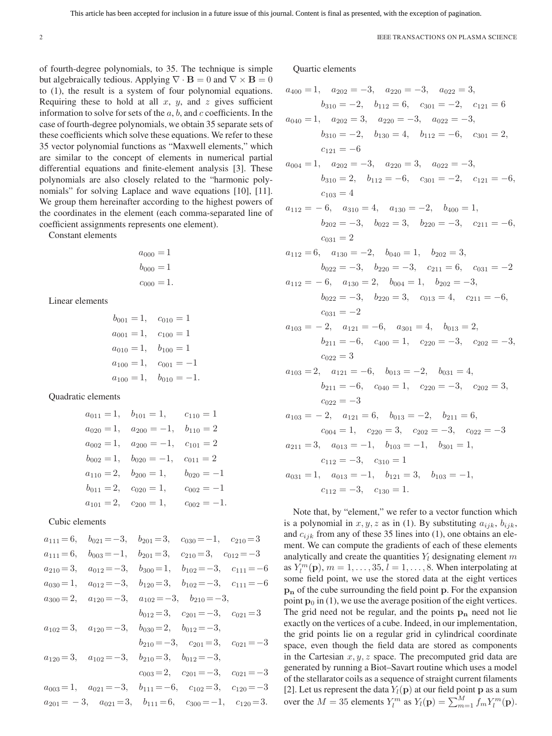of fourth-degree polynomials, to 35. The technique is simple but algebraically tedious. Applying  $\nabla \cdot \mathbf{B} = 0$  and  $\nabla \times \mathbf{B} = 0$ to (1), the result is a system of four polynomial equations. Requiring these to hold at all  $x$ ,  $y$ , and  $z$  gives sufficient information to solve for sets of the  $a, b$ , and  $c$  coefficients. In the case of fourth-degree polynomials, we obtain 35 separate sets of these coefficients which solve these equations. We refer to these 35 vector polynomial functions as "Maxwell elements," which are similar to the concept of elements in numerical partial differential equations and finite-element analysis [3]. These polynomials are also closely related to the "harmonic polynomials" for solving Laplace and wave equations [10], [11]. We group them hereinafter according to the highest powers of the coordinates in the element (each comma-separated line of coefficient assignments represents one element).

Constant elements

$$
a_{000} = 1
$$
  

$$
b_{000} = 1
$$
  

$$
c_{000} = 1.
$$

Linear elements

$$
b_{001} = 1,
$$
  $c_{010} = 1$   
\n $a_{001} = 1,$   $c_{100} = 1$   
\n $a_{010} = 1,$   $b_{100} = 1$   
\n $a_{100} = 1,$   $c_{001} = -1$   
\n $a_{100} = 1,$   $b_{010} = -1.$ 

Quadratic elements

$$
a_{011} = 1, \t b_{101} = 1, \t c_{110} = 1
$$
  
\n
$$
a_{020} = 1, \t a_{200} = -1, \t b_{110} = 2
$$
  
\n
$$
a_{002} = 1, \t a_{200} = -1, \t c_{101} = 2
$$
  
\n
$$
b_{002} = 1, \t b_{020} = -1, \t c_{011} = 2
$$
  
\n
$$
a_{110} = 2, \t b_{200} = 1, \t b_{020} = -1
$$
  
\n
$$
b_{011} = 2, \t c_{020} = 1, \t c_{002} = -1
$$
  
\n
$$
a_{101} = 2, \t c_{200} = 1, \t c_{002} = -1.
$$

# Cubic elements

|                | $a_{111} = 6$ , $b_{021} = -3$ , $b_{201} = 3$ , $c_{030} = -1$ , $c_{210} = 3$   |                                                                          |  |
|----------------|-----------------------------------------------------------------------------------|--------------------------------------------------------------------------|--|
| $a_{111} = 6,$ |                                                                                   | $b_{003} = -1, \quad b_{201} = 3, \quad c_{210} = 3, \quad c_{012} = -3$ |  |
| $a_{210} = 3,$ | $a_{012} = -3, \quad b_{300} = 1, \quad b_{102} = -3, \quad c_{111} = -6$         |                                                                          |  |
| $a_{030} = 1,$ | $a_{012} = -3, \quad b_{120} = 3, \quad b_{102} = -3, \quad c_{111} = -6$         |                                                                          |  |
|                | $a_{300} = 2, \quad a_{120} = -3, \quad a_{102} = -3, \quad b_{210} = -3,$        |                                                                          |  |
|                |                                                                                   | $b_{012}=3$ , $c_{201}=-3$ , $c_{021}=3$                                 |  |
|                | $a_{102} = 3$ , $a_{120} = -3$ , $b_{030} = 2$ , $b_{012} = -3$ ,                 |                                                                          |  |
|                |                                                                                   | $b_{210} = -3$ , $c_{201} = 3$ , $c_{021} = -3$                          |  |
|                | $a_{120} = 3$ , $a_{102} = -3$ , $b_{210} = 3$ , $b_{012} = -3$ ,                 |                                                                          |  |
|                |                                                                                   | $c_{003}=2, \quad c_{201}=-3, \quad c_{021}=-3$                          |  |
|                | $a_{003} = 1$ , $a_{021} = -3$ , $b_{111} = -6$ , $c_{102} = 3$ , $c_{120} = -3$  |                                                                          |  |
|                | $a_{201} = -3$ , $a_{021} = 3$ , $b_{111} = 6$ , $c_{300} = -1$ , $c_{120} = 3$ . |                                                                          |  |

Quartic elements

$$
a_{400} = 1, a_{202} = -3, a_{220} = -3, a_{022} = 3,
$$
  
\n
$$
b_{310} = -2, b_{112} = 6, c_{301} = -2, c_{121} = 6
$$
  
\n
$$
a_{040} = 1, a_{202} = 3, a_{220} = -3, a_{022} = -3,
$$
  
\n
$$
b_{310} = -2, b_{130} = 4, b_{112} = -6, c_{301} = 2,
$$
  
\n
$$
c_{121} = -6
$$
  
\n
$$
a_{004} = 1, a_{202} = -3, a_{220} = 3, a_{022} = -3,
$$
  
\n
$$
b_{310} = 2, b_{112} = -6, c_{301} = -2, c_{121} = -6,
$$
  
\n
$$
c_{103} = 4
$$
  
\n
$$
a_{112} = -6, a_{310} = 4, a_{130} = -2, b_{400} = 1,
$$
  
\n
$$
b_{202} = -3, b_{022} = 3, b_{220} = -3, c_{211} = 6,
$$
  
\n
$$
c_{031} = 2
$$
  
\n
$$
a_{112} = 6, a_{130} = -2, b_{040} = 1, b_{202} = 3,
$$
  
\n
$$
b_{022} = -3, b_{220} = -3, c_{211} = 6, c_{031} = -2
$$
  
\n
$$
a_{112} = -6, a_{130} = 2, b_{004} = 1, b_{202} = -3,
$$
  
\n
$$
b_{022} = -3, b_{220} = 3, c_{013} = 4, c_{211} = -6,
$$
  
\n
$$
c_{031} = -2
$$
  
\n
$$
a_{103} = -2, a_{121} = -6, a_{301} = 4, b_{013} = 2,
$$
  
\n
$$
b_{211} = -6, c_{
$$

Note that, by "element," we refer to a vector function which is a polynomial in  $x, y, z$  as in (1). By substituting  $a_{ijk}, b_{ijk}$ , and  $c_{ijk}$  from any of these 35 lines into (1), one obtains an element. We can compute the gradients of each of these elements analytically and create the quantities  $Y_l$  designating element m as  $Y_l^m(\mathbf{p}), m = 1, \ldots, 35, l = 1, \ldots, 8$ . When interpolating at some field point, we use the stored data at the eight vertices **p<sup>n</sup>** of the cube surrounding the field point **p**. For the expansion point  $\mathbf{p}_0$  in (1), we use the average position of the eight vertices. The grid need not be regular, and the points **p<sup>n</sup>** need not lie exactly on the vertices of a cube. Indeed, in our implementation, the grid points lie on a regular grid in cylindrical coordinate space, even though the field data are stored as components in the Cartesian  $x, y, z$  space. The precomputed grid data are generated by running a Biot–Savart routine which uses a model of the stellarator coils as a sequence of straight current filaments [2]. Let us represent the data  $Y_l(\mathbf{p})$  at our field point **p** as a sum over the  $M = 35$  elements  $Y_l^m$  as  $Y_l(\mathbf{p}) = \sum_{m=1}^M f_m Y_l^m(\mathbf{p})$ .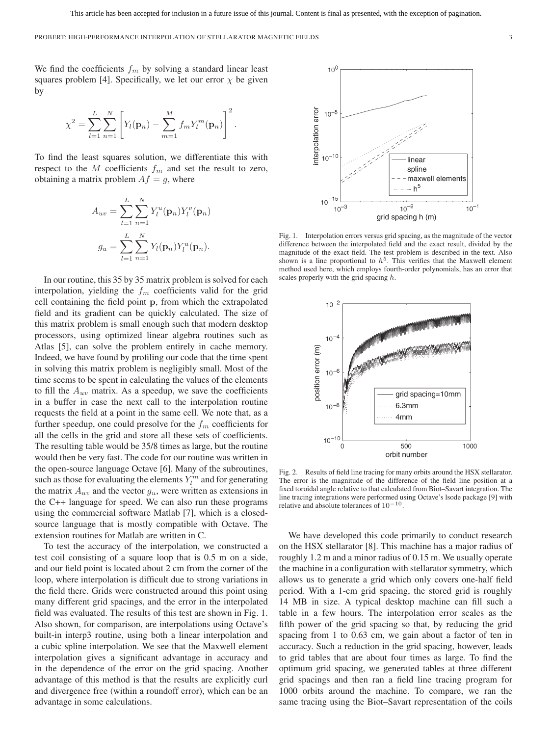We find the coefficients  $f_m$  by solving a standard linear least squares problem [4]. Specifically, we let our error  $\chi$  be given by

$$
\chi^2 = \sum_{l=1}^{L} \sum_{n=1}^{N} \left[ Y_l(\mathbf{p}_n) - \sum_{m=1}^{M} f_m Y_l^m(\mathbf{p}_n) \right]^2.
$$

To find the least squares solution, we differentiate this with respect to the M coefficients  $f_m$  and set the result to zero, obtaining a matrix problem  $Af = g$ , where

$$
A_{uv} = \sum_{l=1}^{L} \sum_{n=1}^{N} Y_l^u(\mathbf{p}_n) Y_l^v(\mathbf{p}_n)
$$

$$
g_u = \sum_{l=1}^{L} \sum_{n=1}^{N} Y_l(\mathbf{p}_n) Y_l^u(\mathbf{p}_n).
$$

In our routine, this 35 by 35 matrix problem is solved for each interpolation, yielding the  $f_m$  coefficients valid for the grid cell containing the field point **p**, from which the extrapolated field and its gradient can be quickly calculated. The size of this matrix problem is small enough such that modern desktop processors, using optimized linear algebra routines such as Atlas [5], can solve the problem entirely in cache memory. Indeed, we have found by profiling our code that the time spent in solving this matrix problem is negligibly small. Most of the time seems to be spent in calculating the values of the elements to fill the  $A_{uv}$  matrix. As a speedup, we save the coefficients in a buffer in case the next call to the interpolation routine requests the field at a point in the same cell. We note that, as a further speedup, one could presolve for the  $f_m$  coefficients for all the cells in the grid and store all these sets of coefficients. The resulting table would be 35/8 times as large, but the routine would then be very fast. The code for our routine was written in the open-source language Octave [6]. Many of the subroutines, such as those for evaluating the elements  $Y_l^m$  and for generating the matrix  $A_{uv}$  and the vector  $g_u$ , were written as extensions in the C++ language for speed. We can also run these programs using the commercial software Matlab [7], which is a closedsource language that is mostly compatible with Octave. The extension routines for Matlab are written in C.

To test the accuracy of the interpolation, we constructed a test coil consisting of a square loop that is 0.5 m on a side, and our field point is located about 2 cm from the corner of the loop, where interpolation is difficult due to strong variations in the field there. Grids were constructed around this point using many different grid spacings, and the error in the interpolated field was evaluated. The results of this test are shown in Fig. 1. Also shown, for comparison, are interpolations using Octave's built-in interp3 routine, using both a linear interpolation and a cubic spline interpolation. We see that the Maxwell element interpolation gives a significant advantage in accuracy and in the dependence of the error on the grid spacing. Another advantage of this method is that the results are explicitly curl and divergence free (within a roundoff error), which can be an advantage in some calculations.



Fig. 1. Interpolation errors versus grid spacing, as the magnitude of the vector difference between the interpolated field and the exact result, divided by the magnitude of the exact field. The test problem is described in the text. Also shown is a line proportional to  $h^5$ . This verifies that the Maxwell element method used here, which employs fourth-order polynomials, has an error that scales properly with the grid spacing h.



Fig. 2. Results of field line tracing for many orbits around the HSX stellarator. The error is the magnitude of the difference of the field line position at a fixed toroidal angle relative to that calculated from Biot–Savart integration. The line tracing integrations were performed using Octave's lsode package [9] with relative and absolute tolerances of  $10^{-10}$ .

We have developed this code primarily to conduct research on the HSX stellarator [8]. This machine has a major radius of roughly 1.2 m and a minor radius of 0.15 m. We usually operate the machine in a configuration with stellarator symmetry, which allows us to generate a grid which only covers one-half field period. With a 1-cm grid spacing, the stored grid is roughly 14 MB in size. A typical desktop machine can fill such a table in a few hours. The interpolation error scales as the fifth power of the grid spacing so that, by reducing the grid spacing from 1 to 0.63 cm, we gain about a factor of ten in accuracy. Such a reduction in the grid spacing, however, leads to grid tables that are about four times as large. To find the optimum grid spacing, we generated tables at three different grid spacings and then ran a field line tracing program for 1000 orbits around the machine. To compare, we ran the same tracing using the Biot–Savart representation of the coils